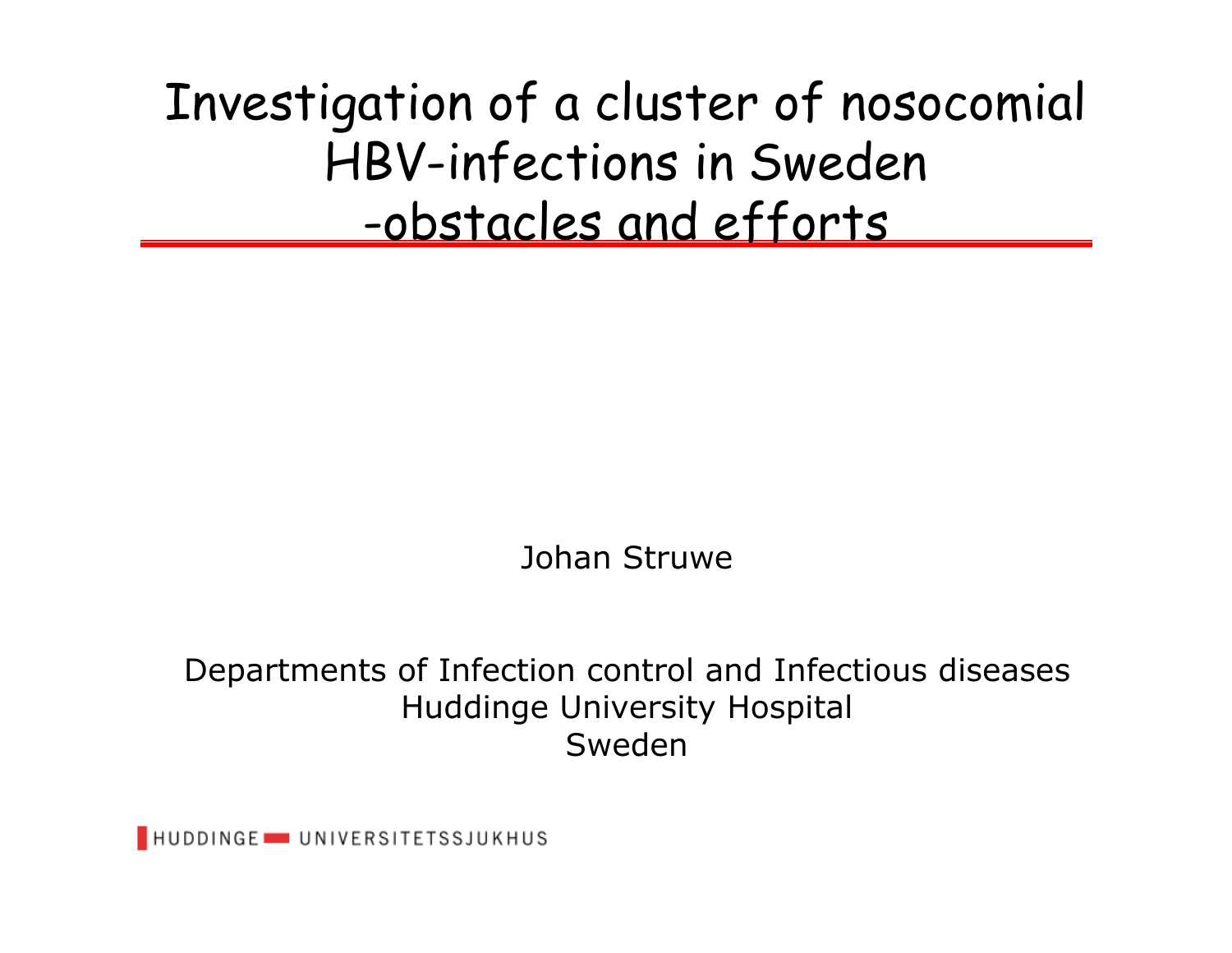Investigation of a cluster of nosocomial HBV-infections in Sweden -obstacles and efforts

Johan Struwe

Departments of Infection control and Infectious diseases Huddinge University Hospital Sweden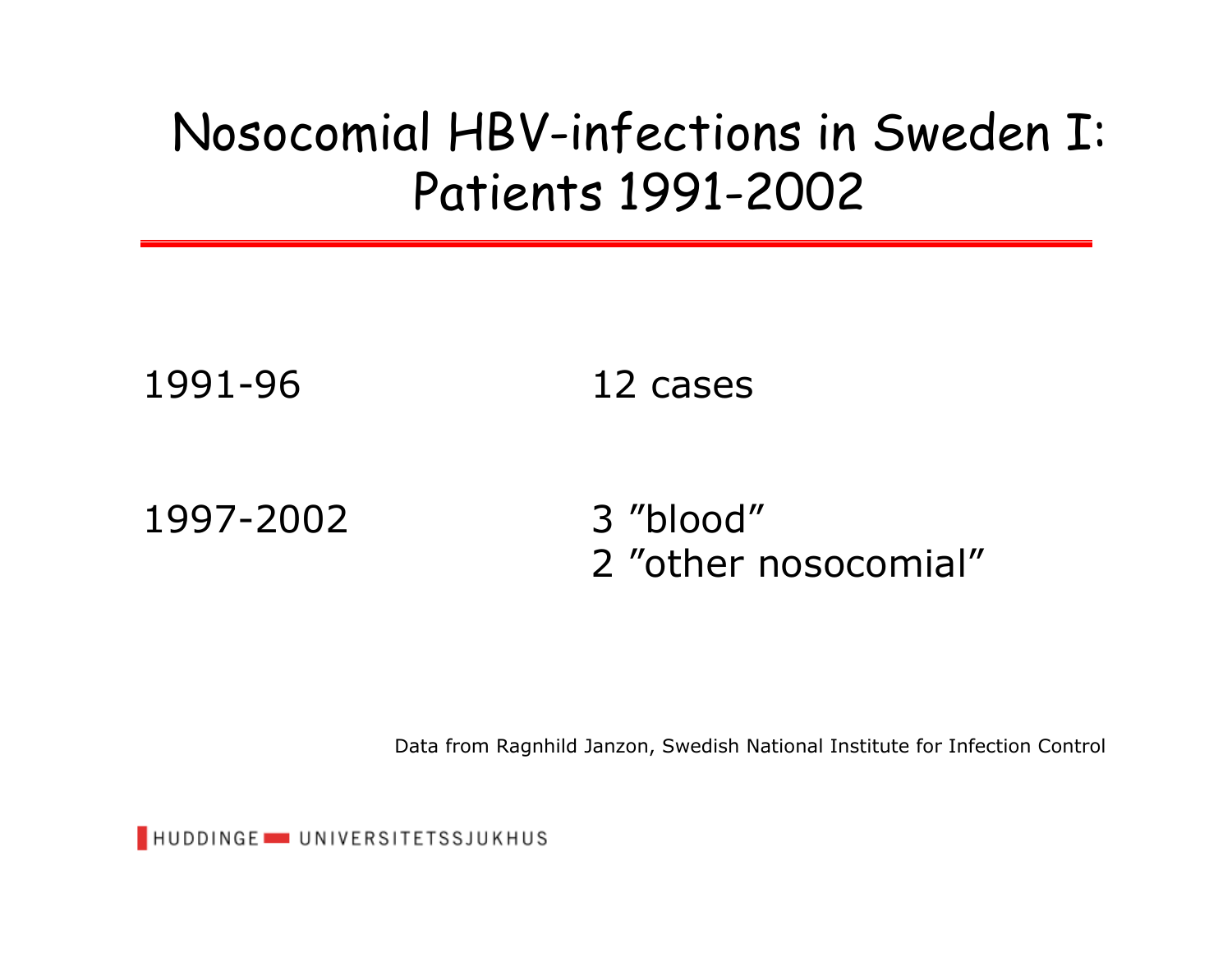### Nosocomial HBV-infections in Sweden I: Patients 1991-2002

1991-96 12 cases

1997-2002 3 "blood"

2 "other nosocomial"

Data from Ragnhild Janzon, Swedish National Institute for Infection Control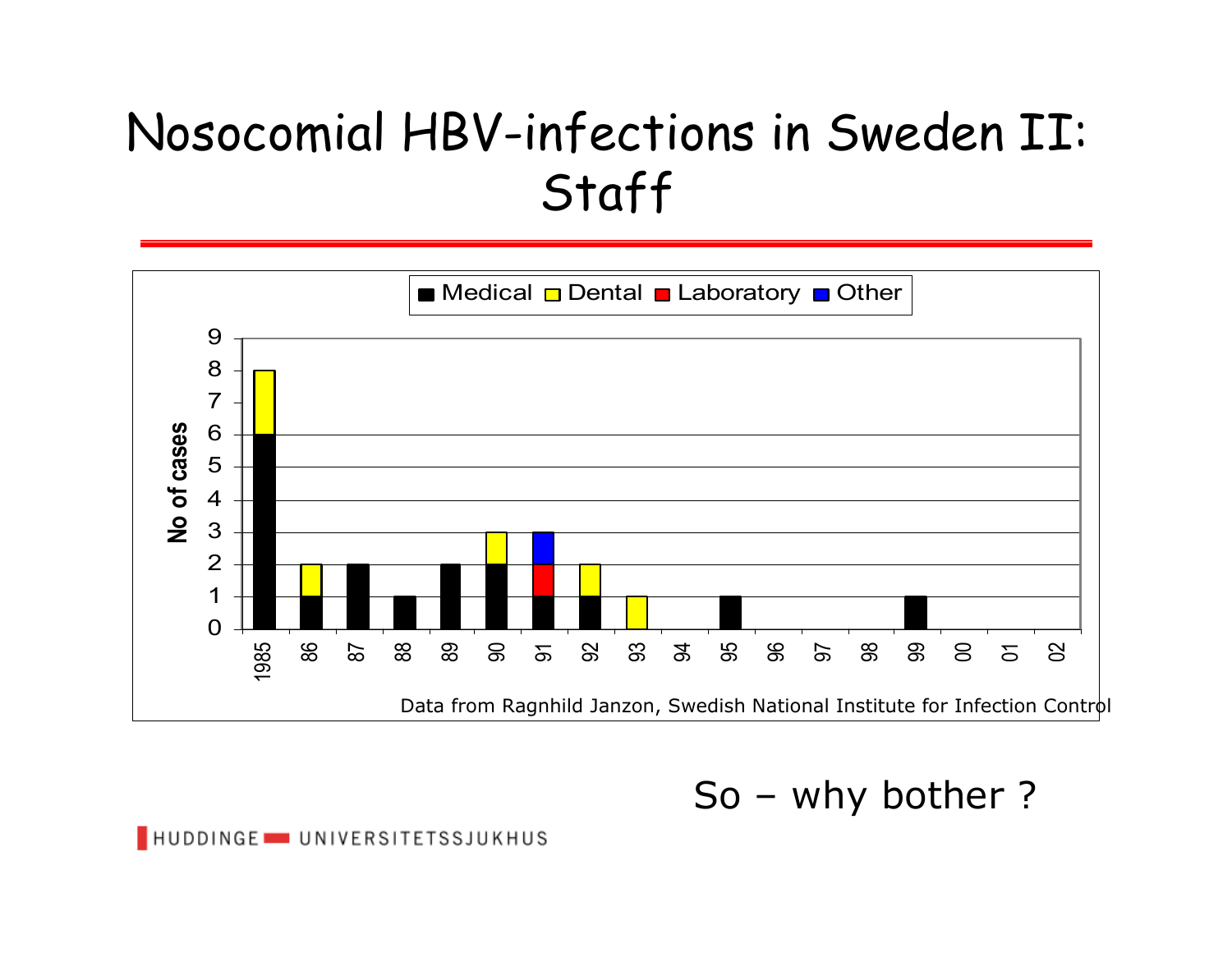# Nosocomial HBV-infections in Sweden II: Staff



So – why bother 
$$
?
$$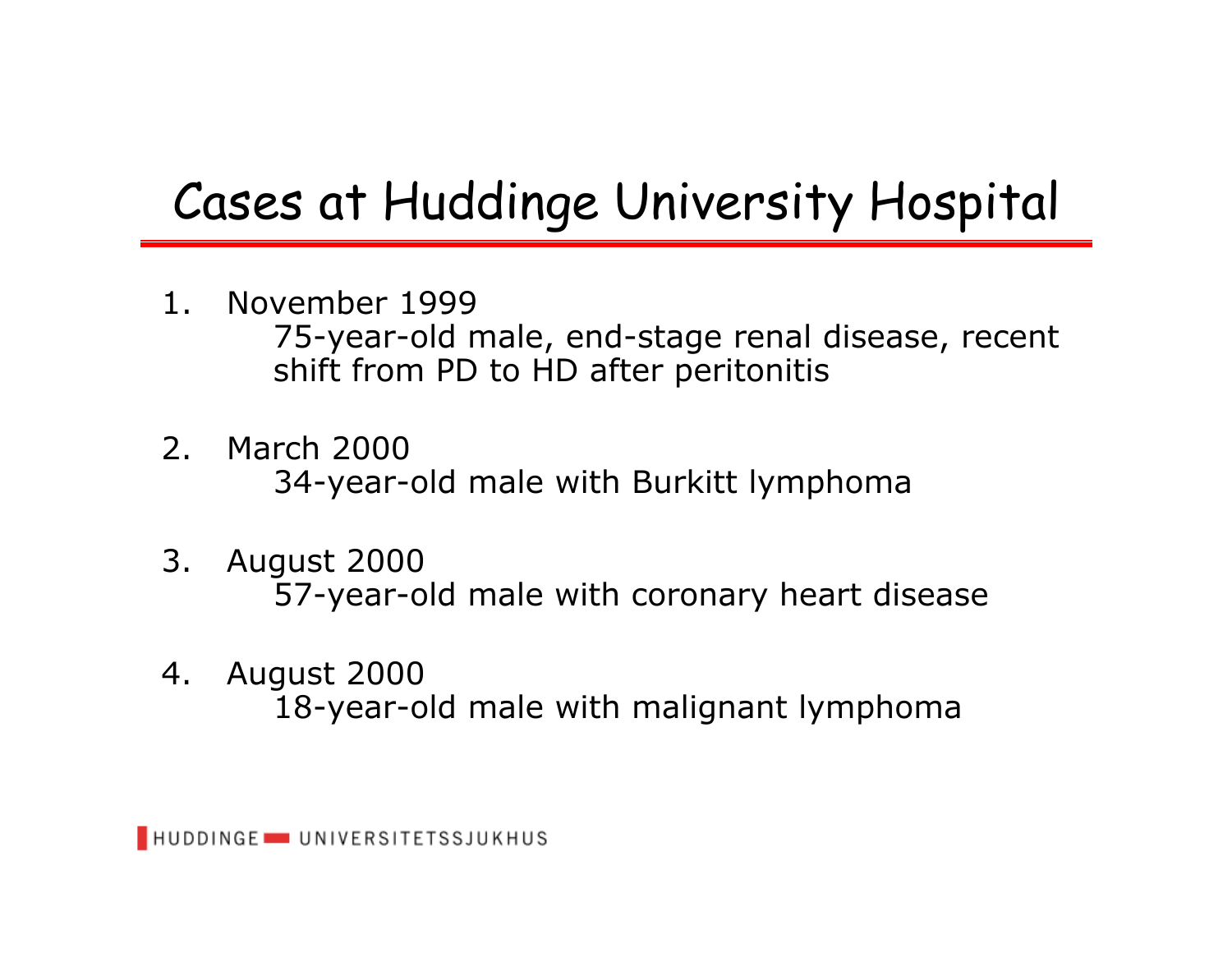# Cases at Huddinge University Hospital

- 1. November 199975-year-old male, end-stage renal disease, recent shift from PD to HD after peritonitis
- 2. March 200034-year-old male with Burkitt lymphoma
- 3. August 2000 57-year-old male with coronary heart disease
- 4. August 2000 18-year-old male with malignant lymphoma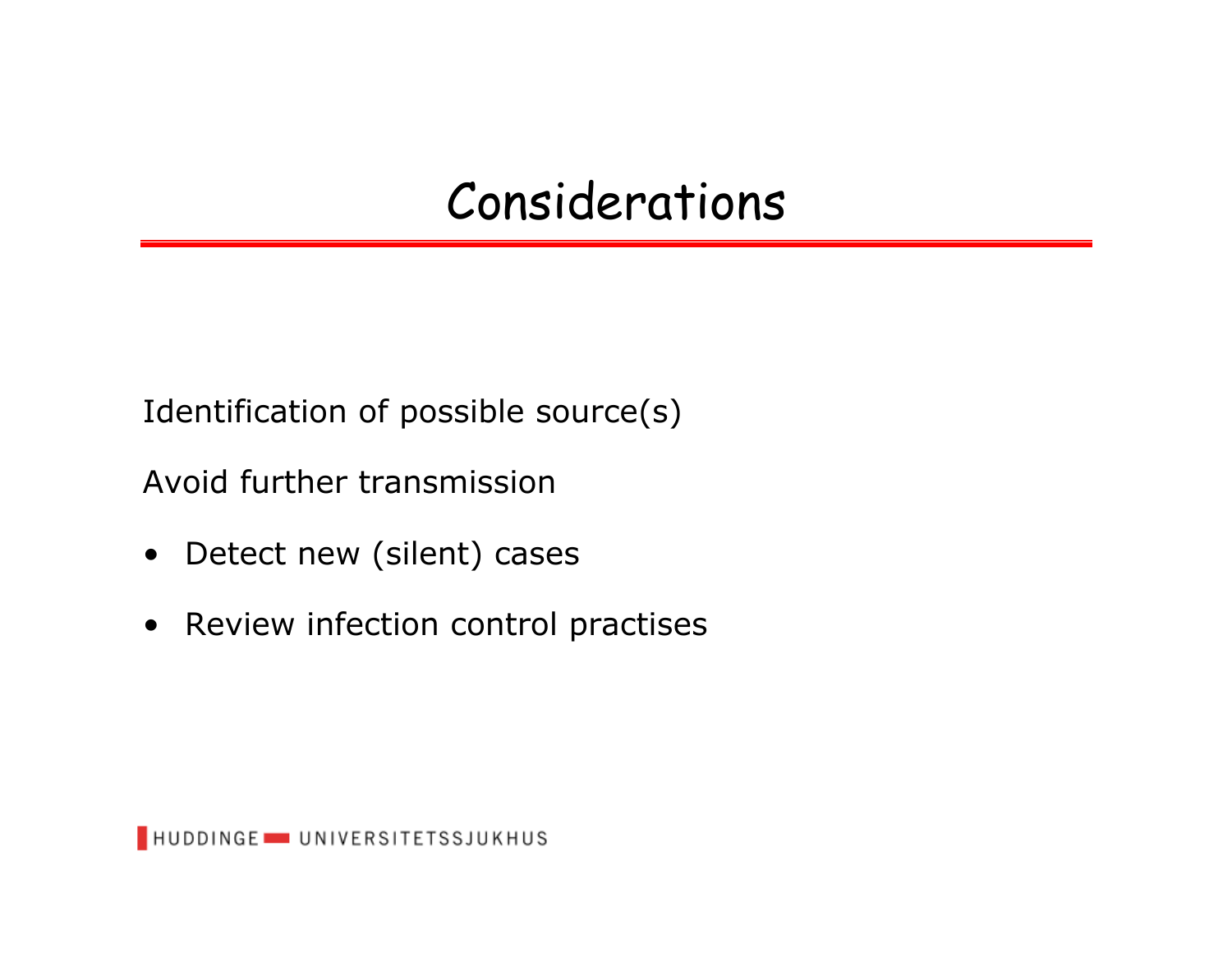### Considerations

Identification of possible source(s)

Avoid further transmission

- Detect new (silent) cases
- Review infection control practises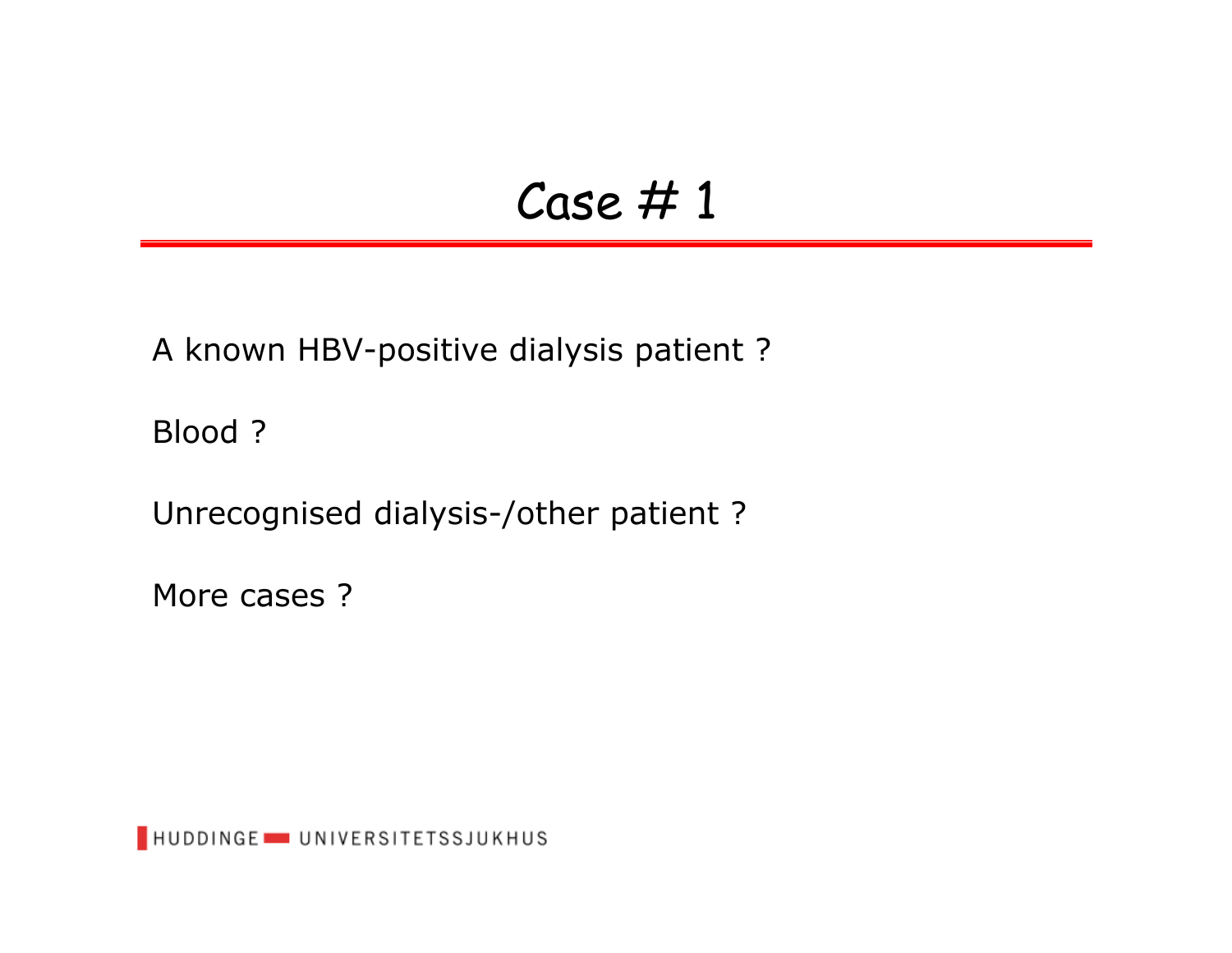A known HBV-positive dialysis patient ?

Blood ?

Unrecognised dialysis-/other patient ?

More cases ?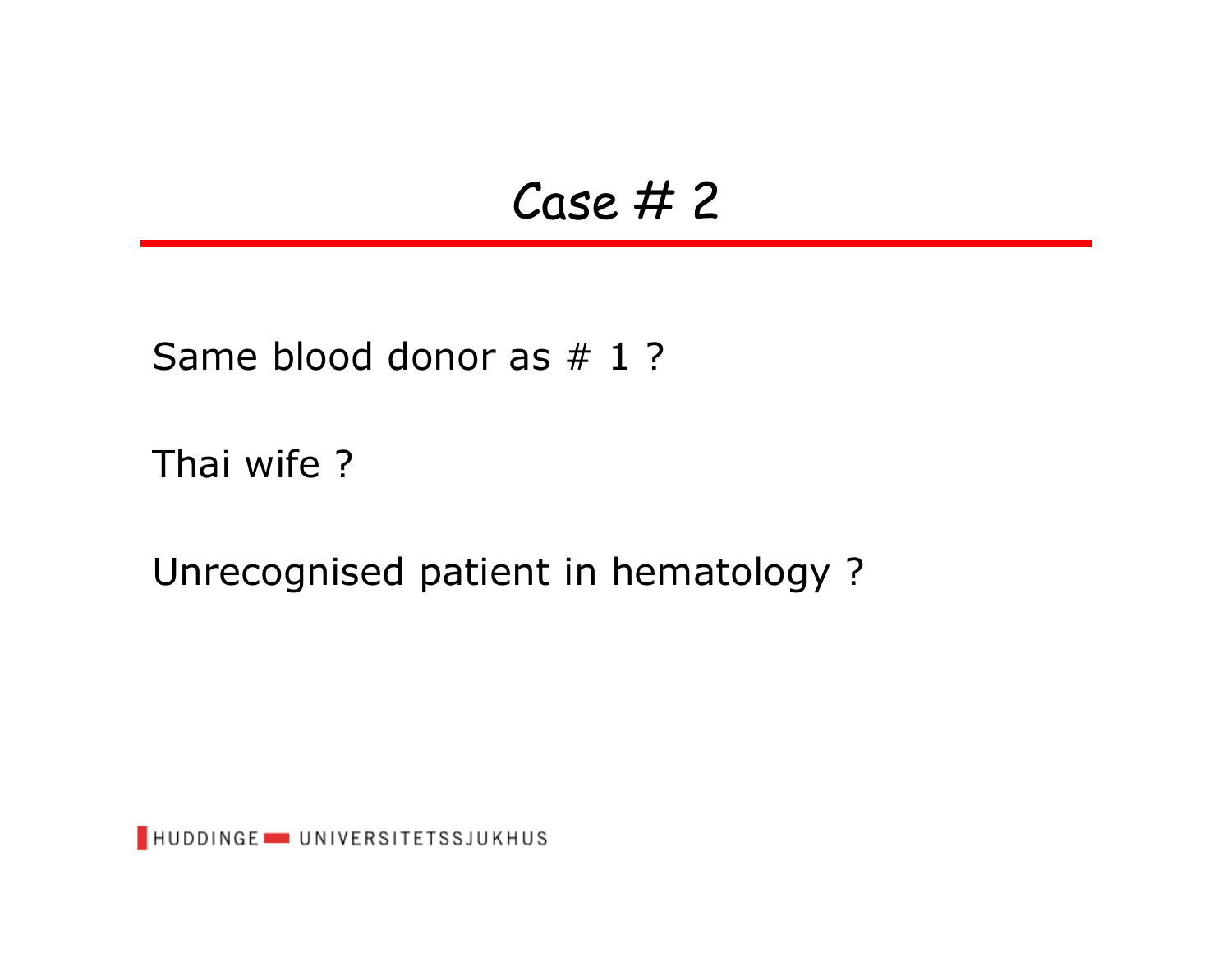#### Same blood donor as # 1 ?

Thai wife ?

Unrecognised patient in hematology ?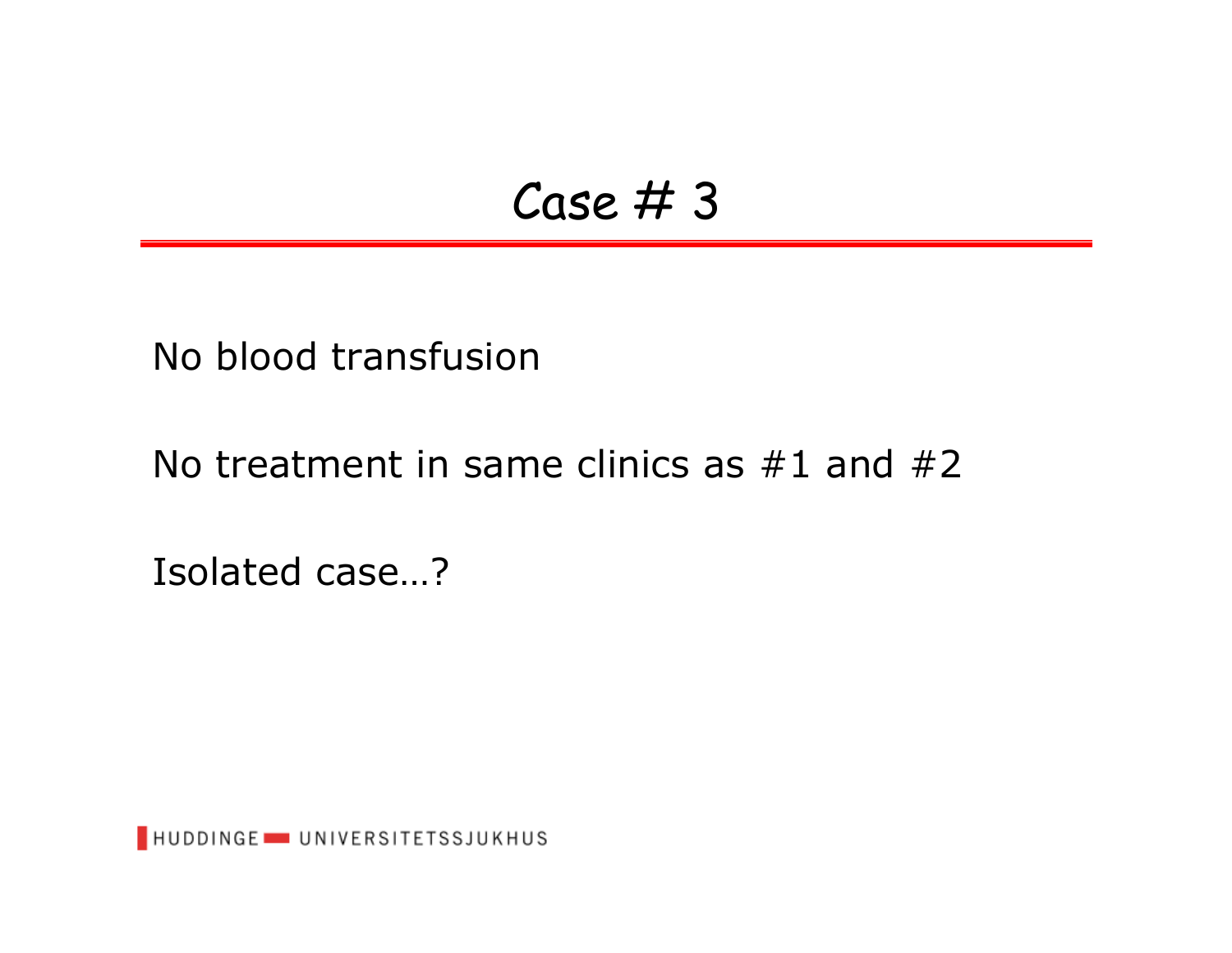No blood transfusion

#### No treatment in same clinics as  $#1$  and  $#2$

Isolated case…?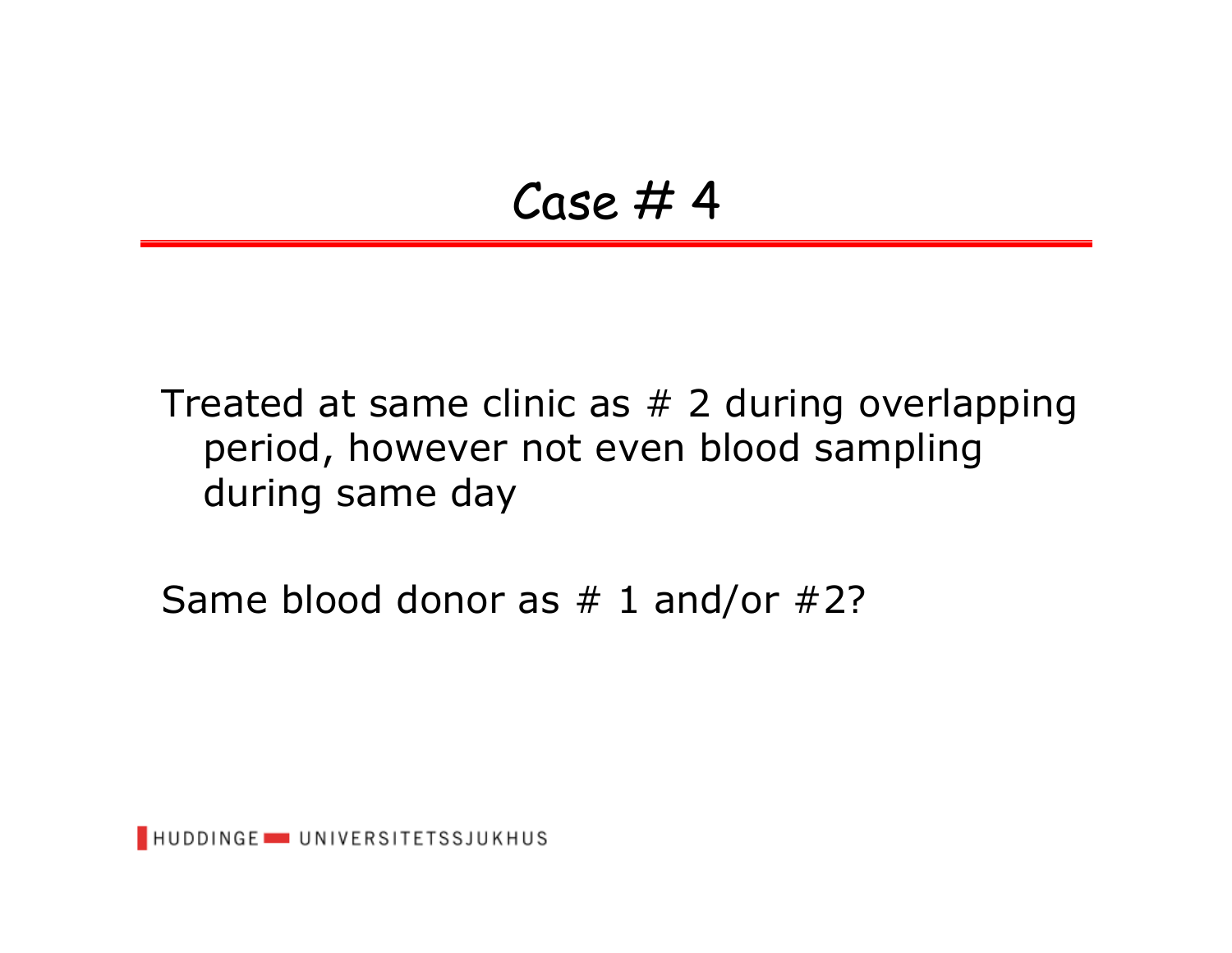Treated at same clinic as  $# 2$  during overlapping period, however not even blood sampling during same day

Same blood donor as  $# 1$  and/or  $#2$ ?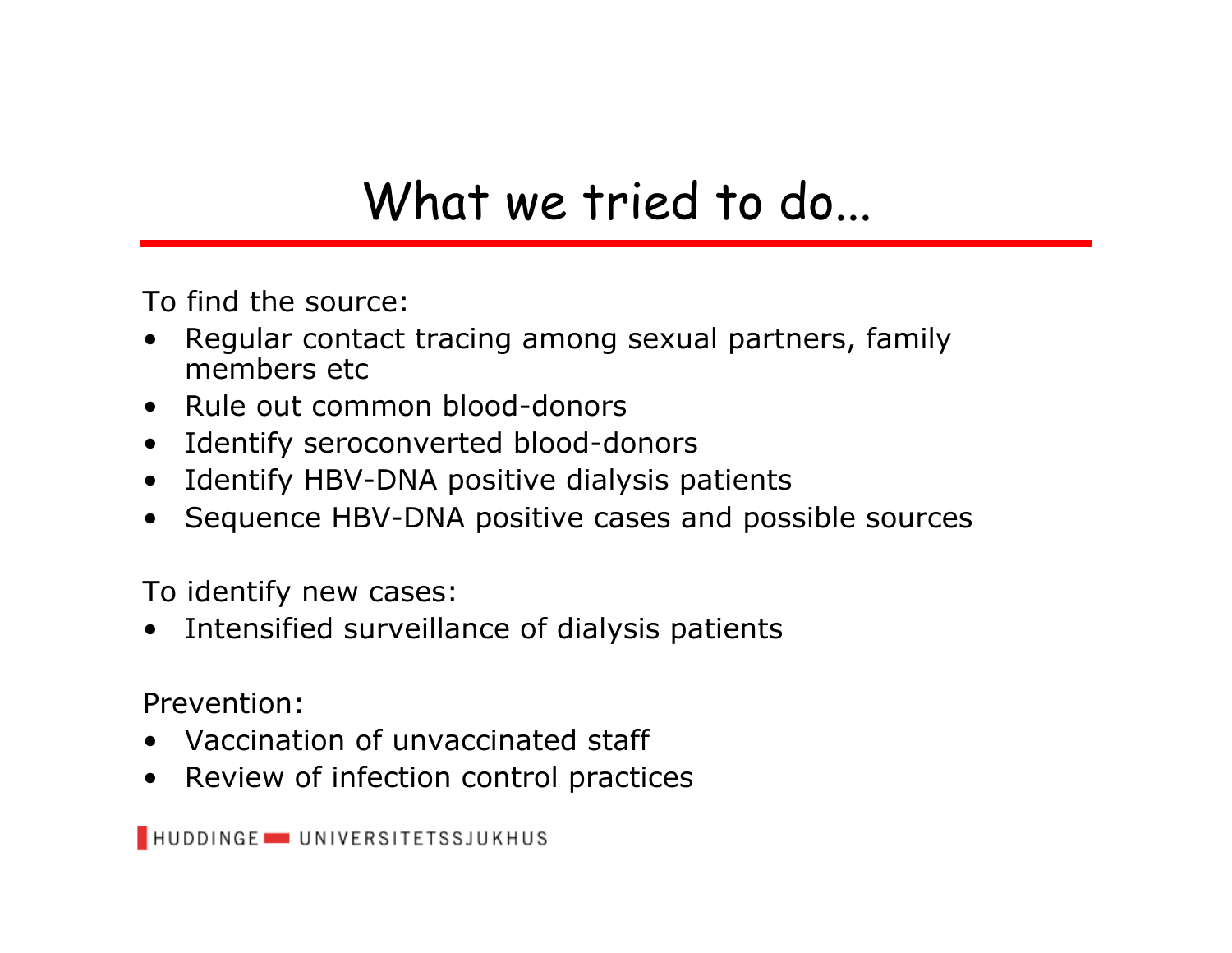### What we tried to do...

To find the source:

- • Regular contact tracing among sexual partners, family members etc
- Rule out common blood-donors
- Identify seroconverted blood-donors
- Identify HBV-DNA positive dialysis patients
- Sequence HBV-DNA positive cases and possible sources

To identify new cases:

•Intensified surveillance of dialysis patients

Prevention:

- Vaccination of unvaccinated staff
- Review of infection control practices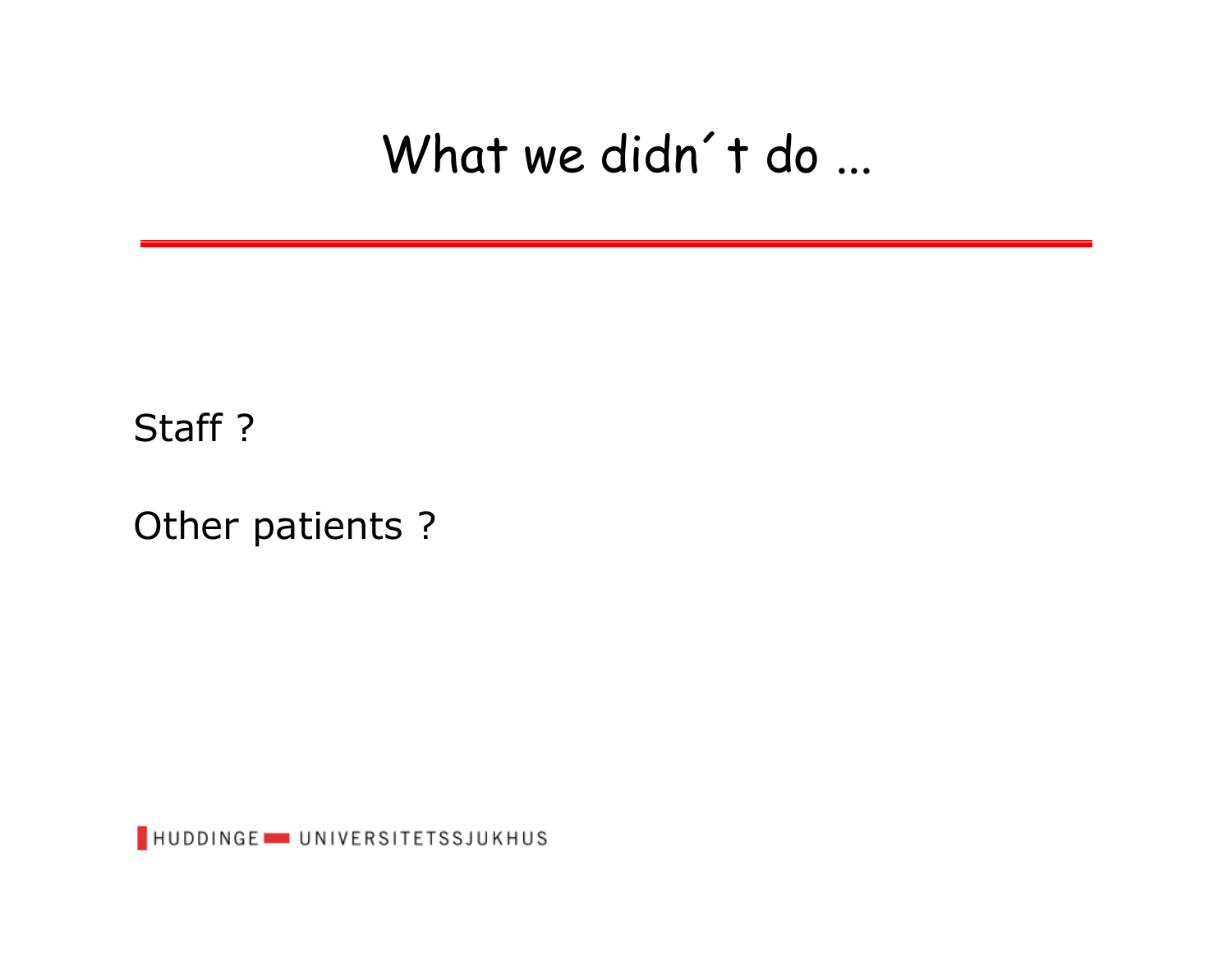### What we didn't do ...

Staff ?

Other patients ?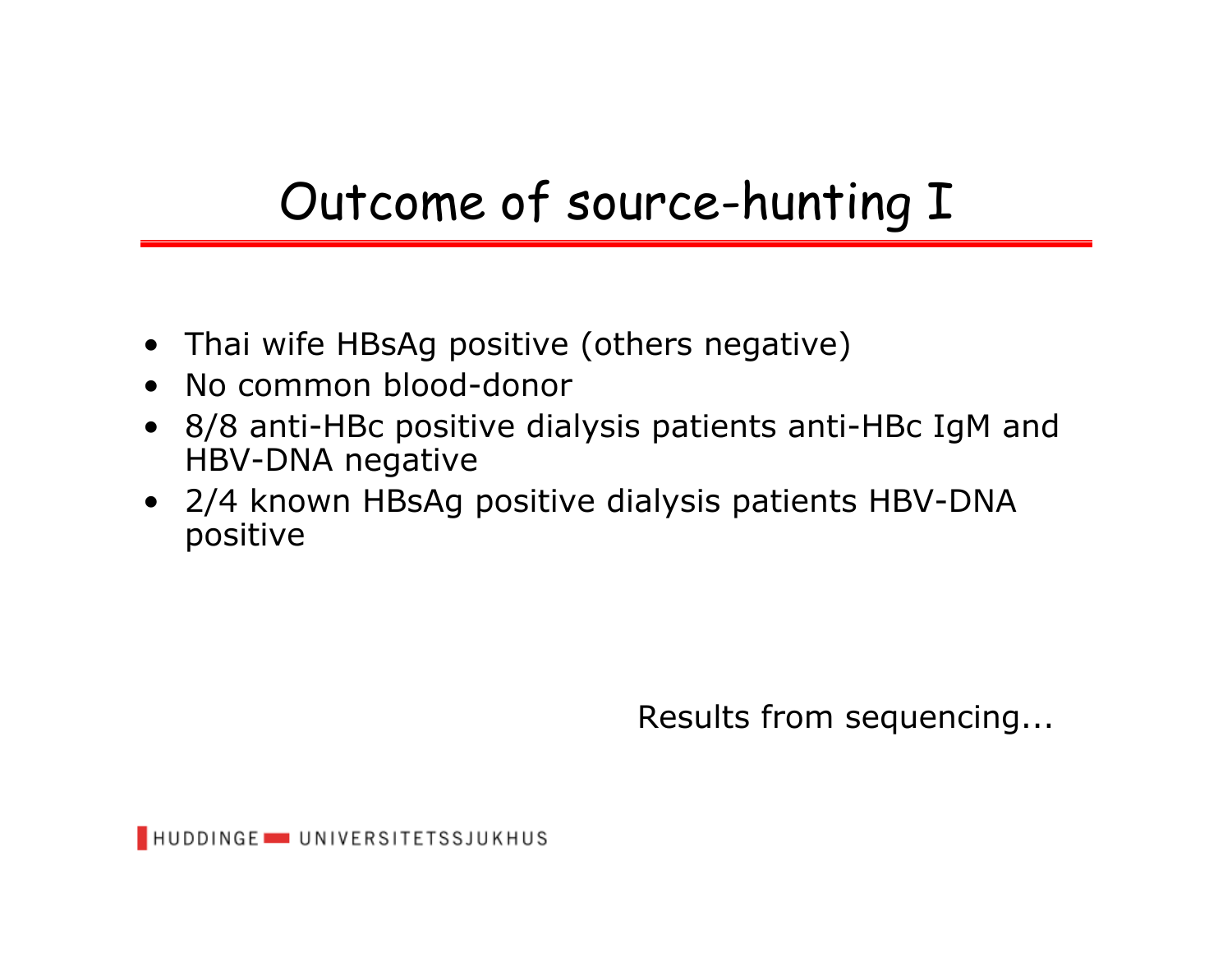# Outcome of source-hunting I

- Thai wife HBsAg positive (others negative)
- No common blood-donor
- 8/8 anti-HBc positive dialysis patients anti-HBc IgM and HBV-DNA negative
- 2/4 known HBsAg positive dialysis patients HBV-DNA positive

Results from sequencing...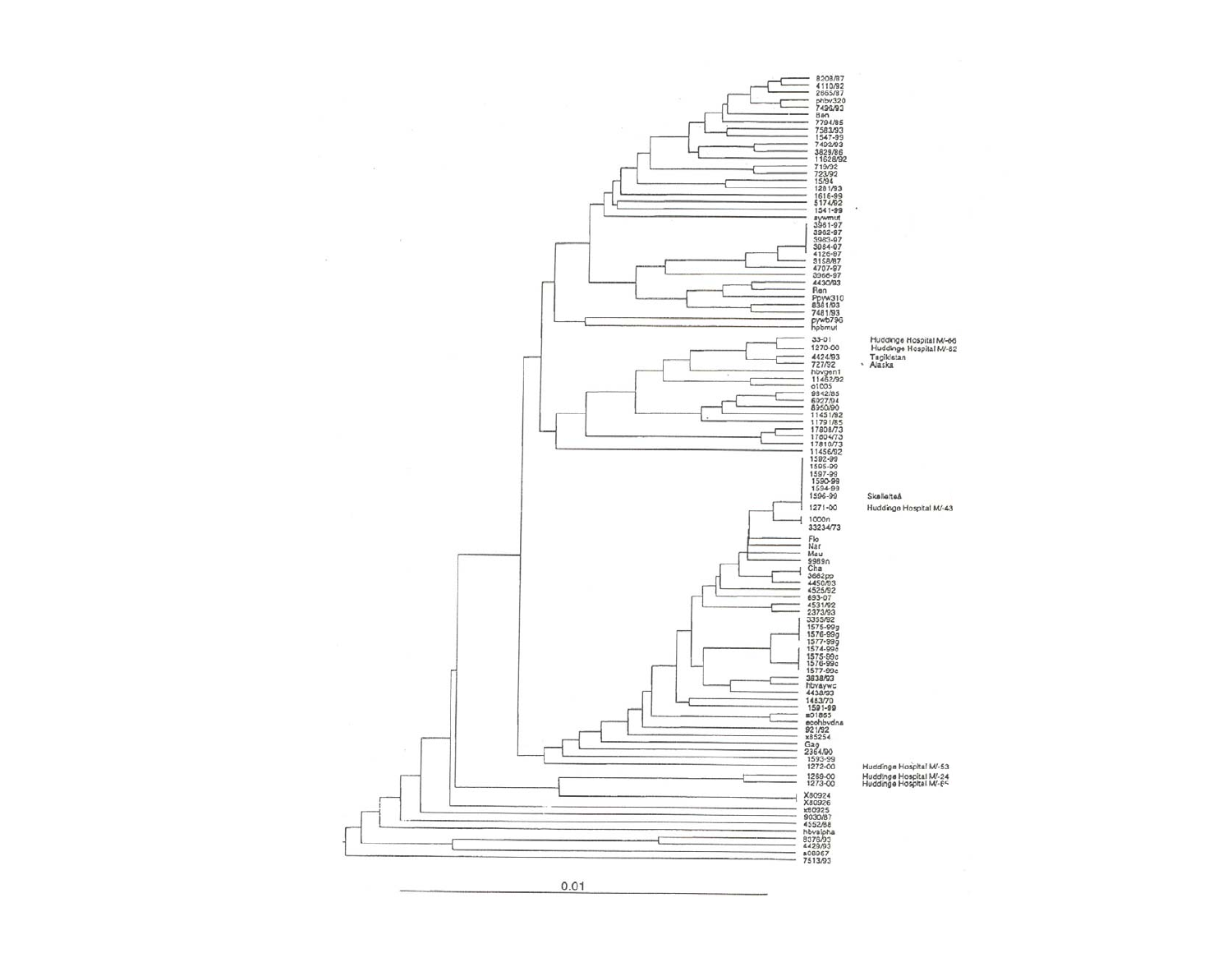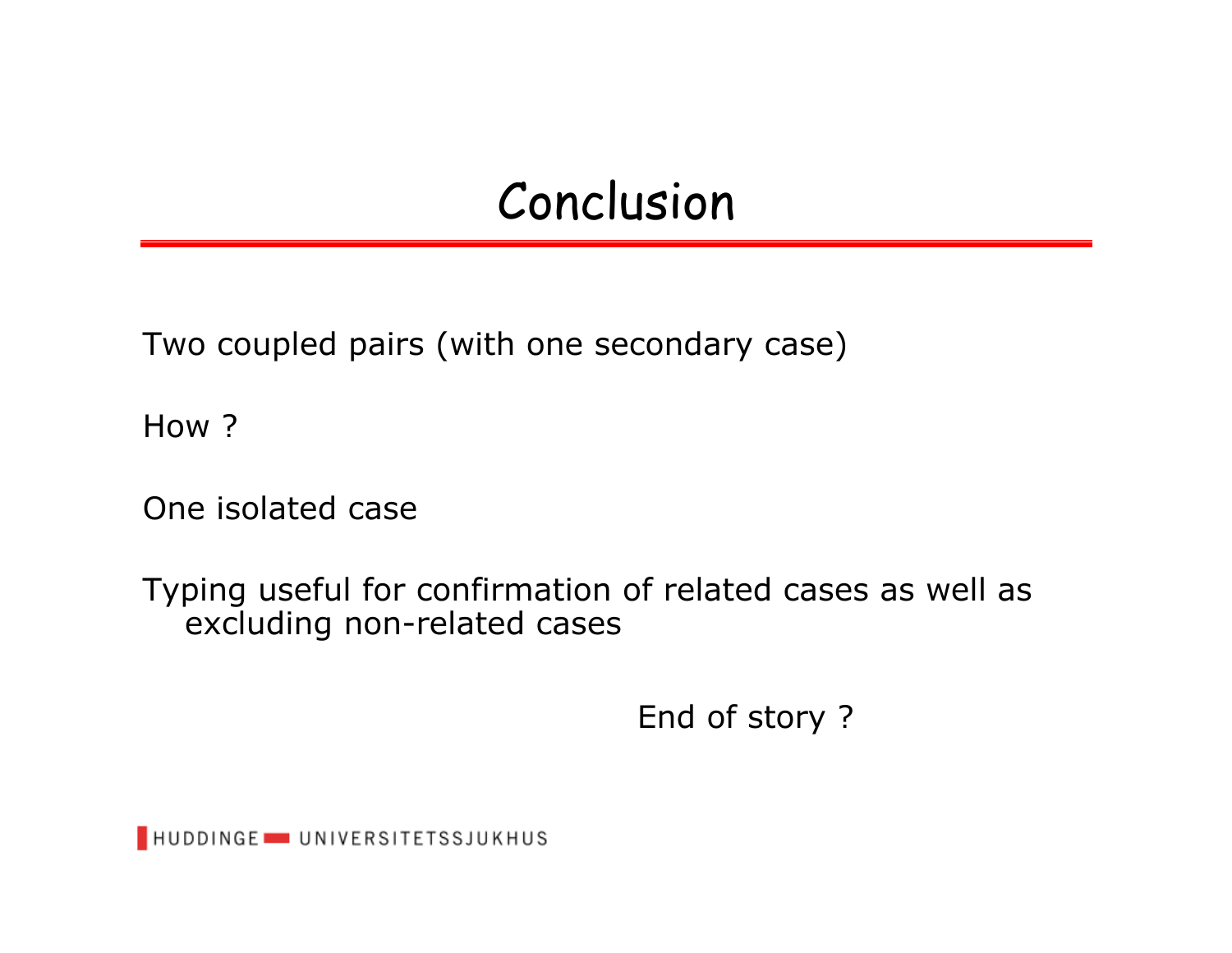### Conclusion

Two coupled pairs (with one secondary case)

How ?

One isolated case

Typing useful for confirmation of related cases as well as excluding non-related cases

End of story ?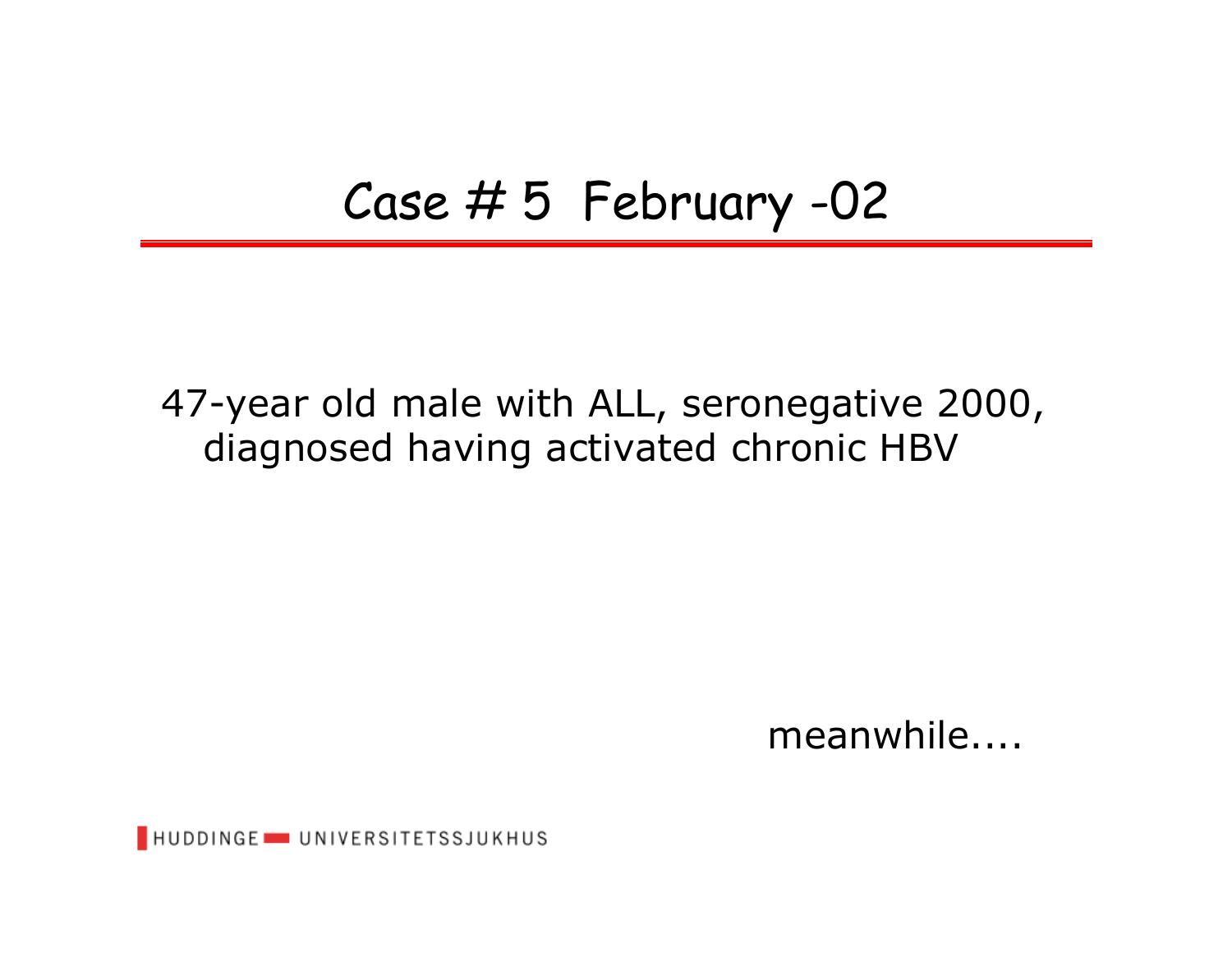### Case  $# 5$  February -02

### 47-year old male with ALL, seronegative 2000, diagnosed having activated chronic HBV

meanwhile....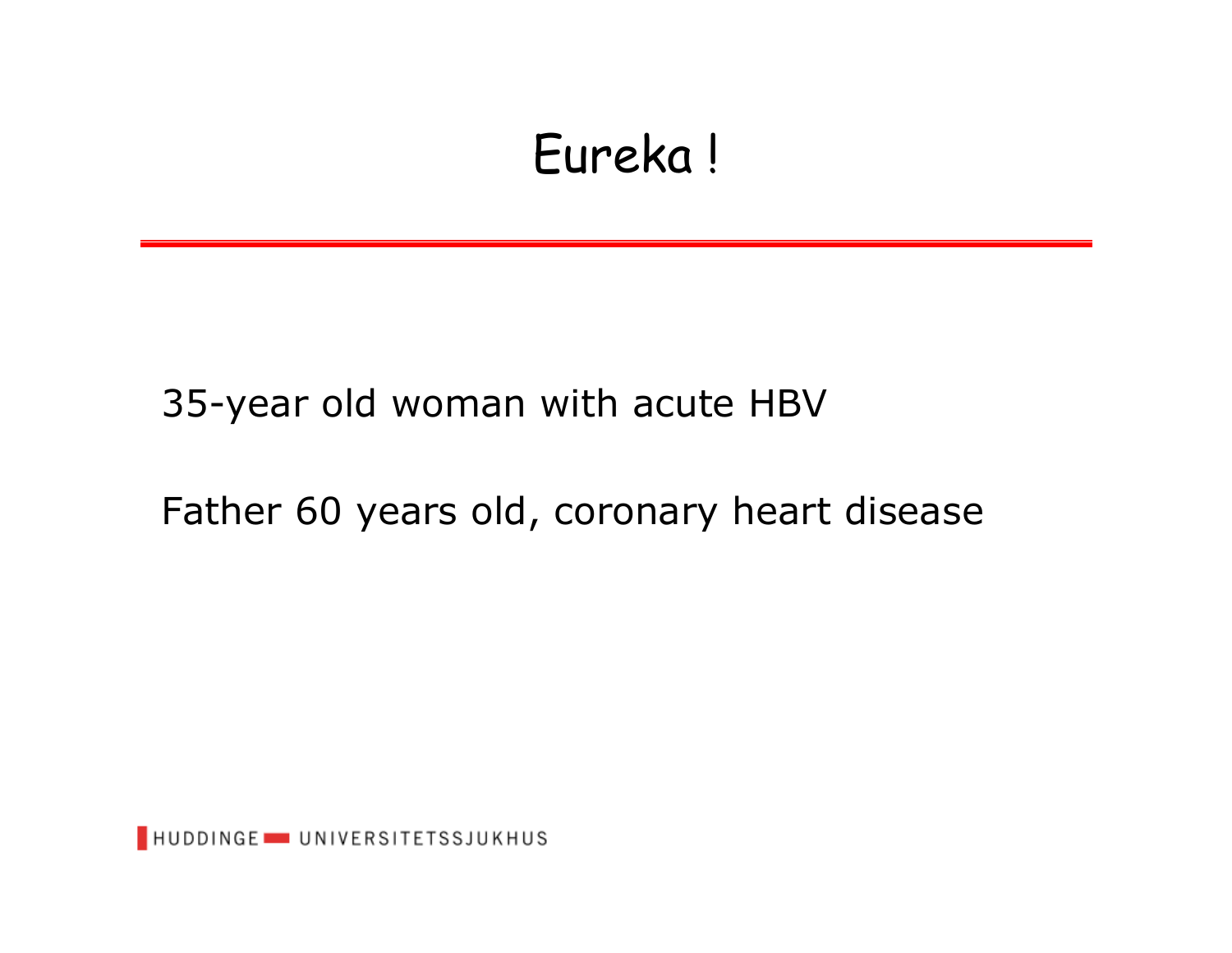### Eureka !

### 35-year old woman with acute HBV

### Father 60 years old, coronary heart disease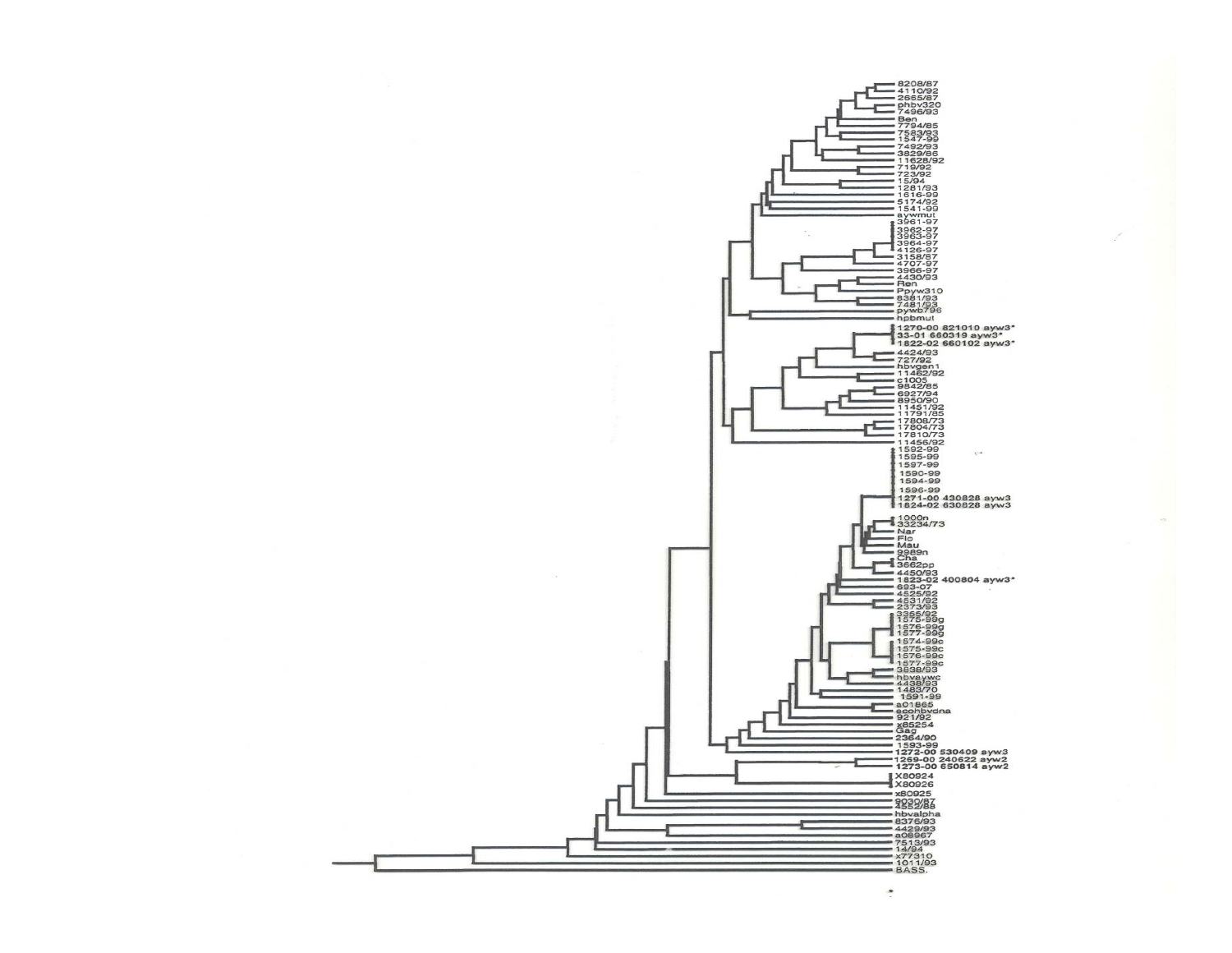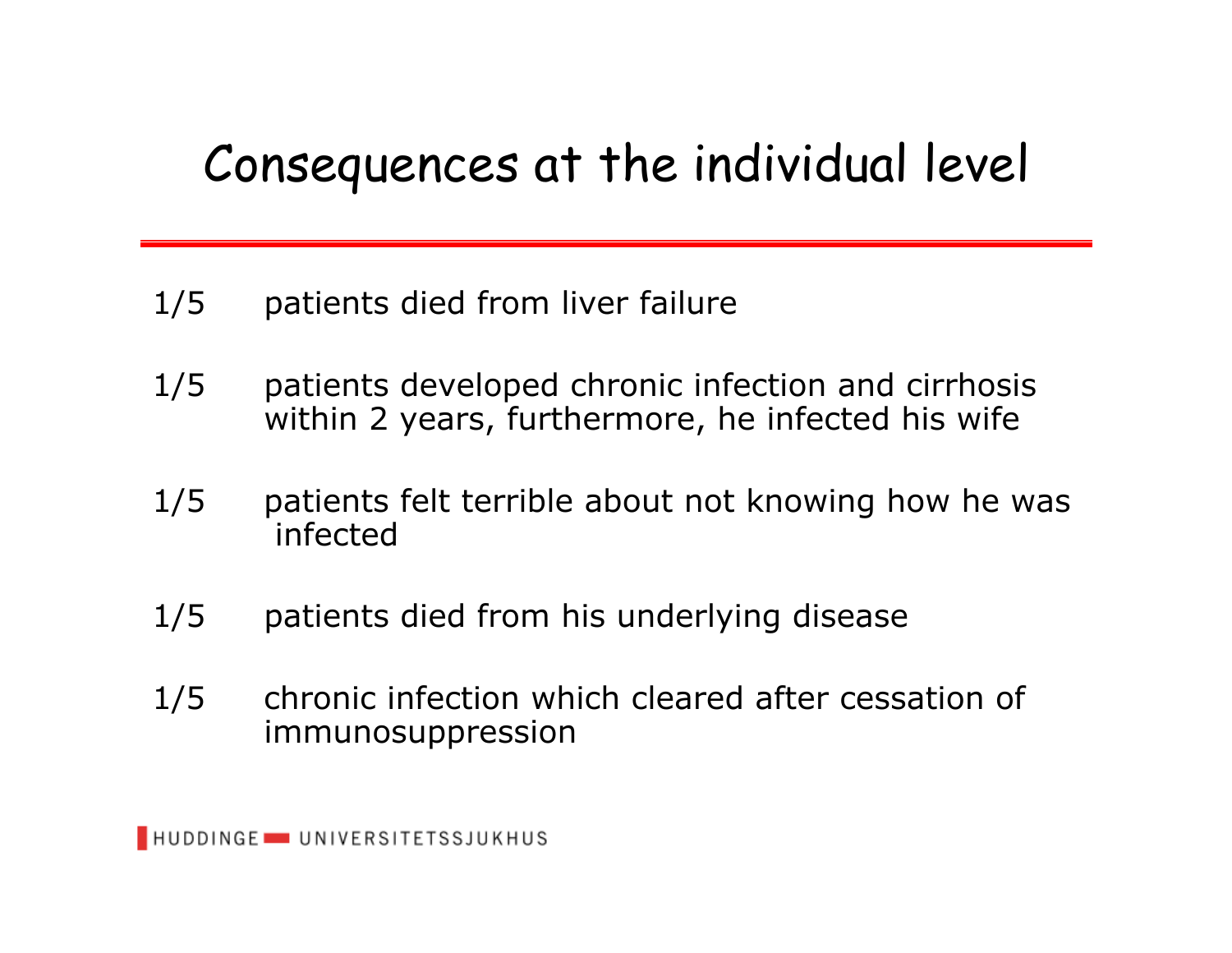### Consequences at the individual level

- 1/5 patients died from liver failure
- 1/5 patients developed chronic infection and cirrhosis within 2 years, furthermore, he infected his wife
- 1/5 patients felt terrible about not knowing how he was infected
- 1/5 patients died from his underlying disease
- 1/5 chronic infection which cleared after cessation of immunosuppression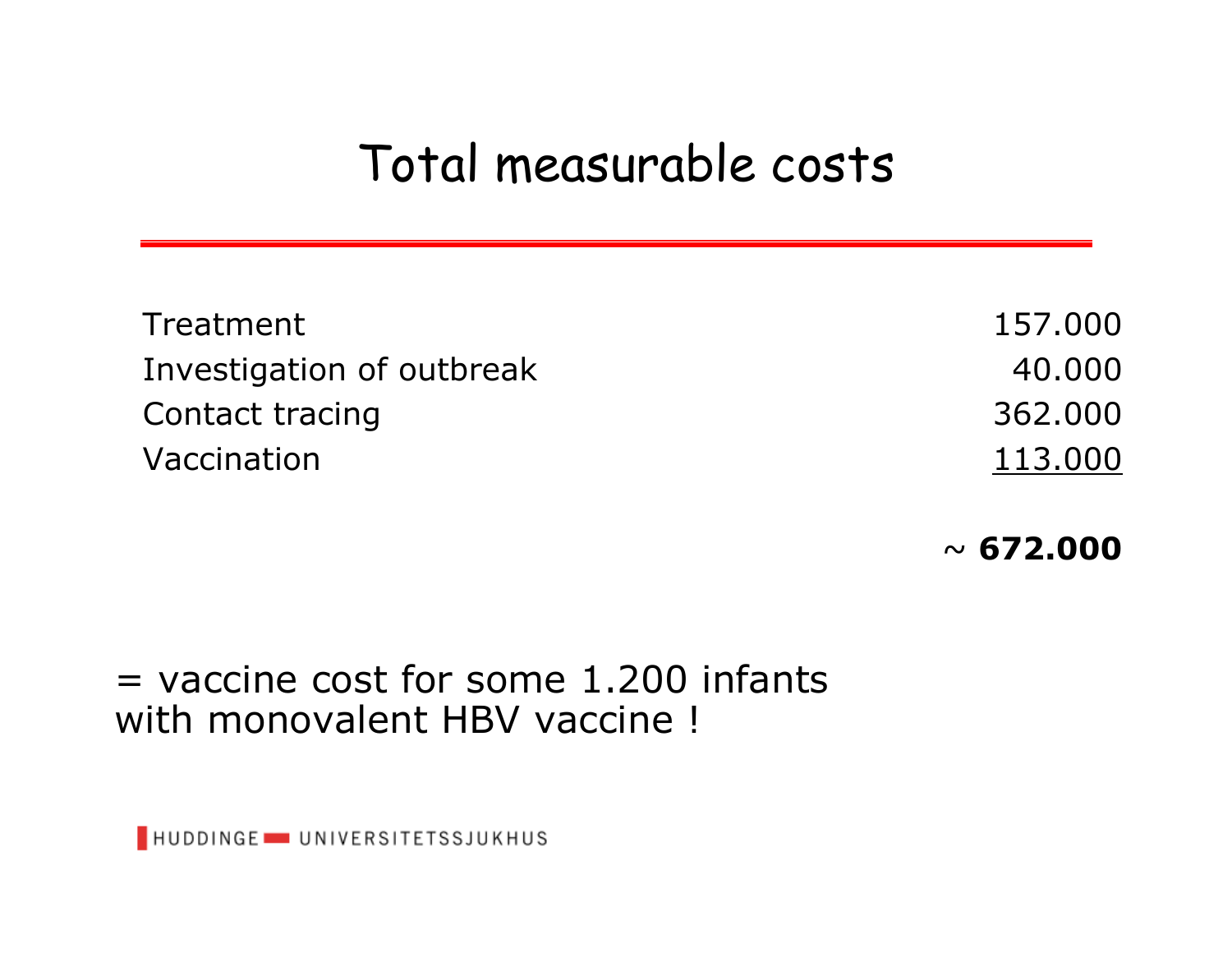### Total measurable costs

| Treatment                 | 157.000 |
|---------------------------|---------|
| Investigation of outbreak | 40.000  |
| Contact tracing           | 362.000 |
| Vaccination               | 113.000 |

~ **672.000**

#### $=$  vaccine cost for some 1.200 infants with monovalent HBV vaccine !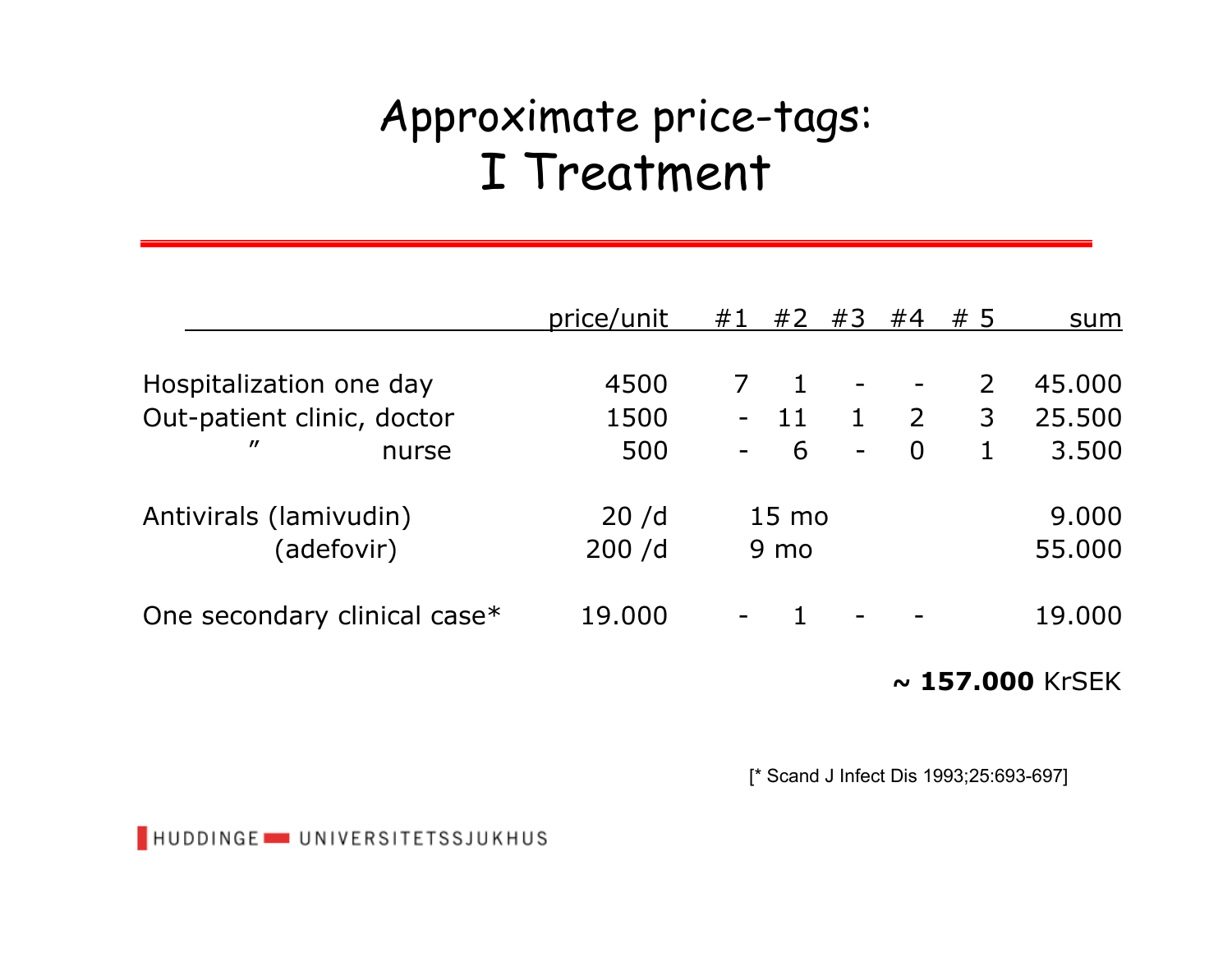### Approximate price-tags: I Treatment

|                                      | price/unit | #1 | #2              | #3                | #4             | # 5            | sum    |
|--------------------------------------|------------|----|-----------------|-------------------|----------------|----------------|--------|
|                                      |            |    |                 |                   |                |                |        |
| Hospitalization one day              | 4500       |    |                 | $\qquad \qquad -$ |                | $\overline{2}$ | 45.000 |
| Out-patient clinic, doctor           | 1500       |    | 11              | 1                 | $\overline{2}$ | 3              | 25.500 |
| $\boldsymbol{\prime\prime}$<br>nurse | 500        |    | 6               | $\blacksquare$    | $\Omega$       |                | 3.500  |
|                                      |            |    |                 |                   |                |                |        |
| Antivirals (lamivudin)               | 20/d       |    | $15 \text{ mo}$ |                   |                |                | 9.000  |
| (adefovir)                           | 200/d      |    | 9 <sub>mo</sub> |                   |                |                | 55.000 |
|                                      |            |    |                 |                   |                |                |        |
| One secondary clinical case*         | 19.000     |    |                 |                   |                |                | 19.000 |

#### **~ 157.000** KrSEK

[\* Scand J Infect Dis 1993;25:693-697]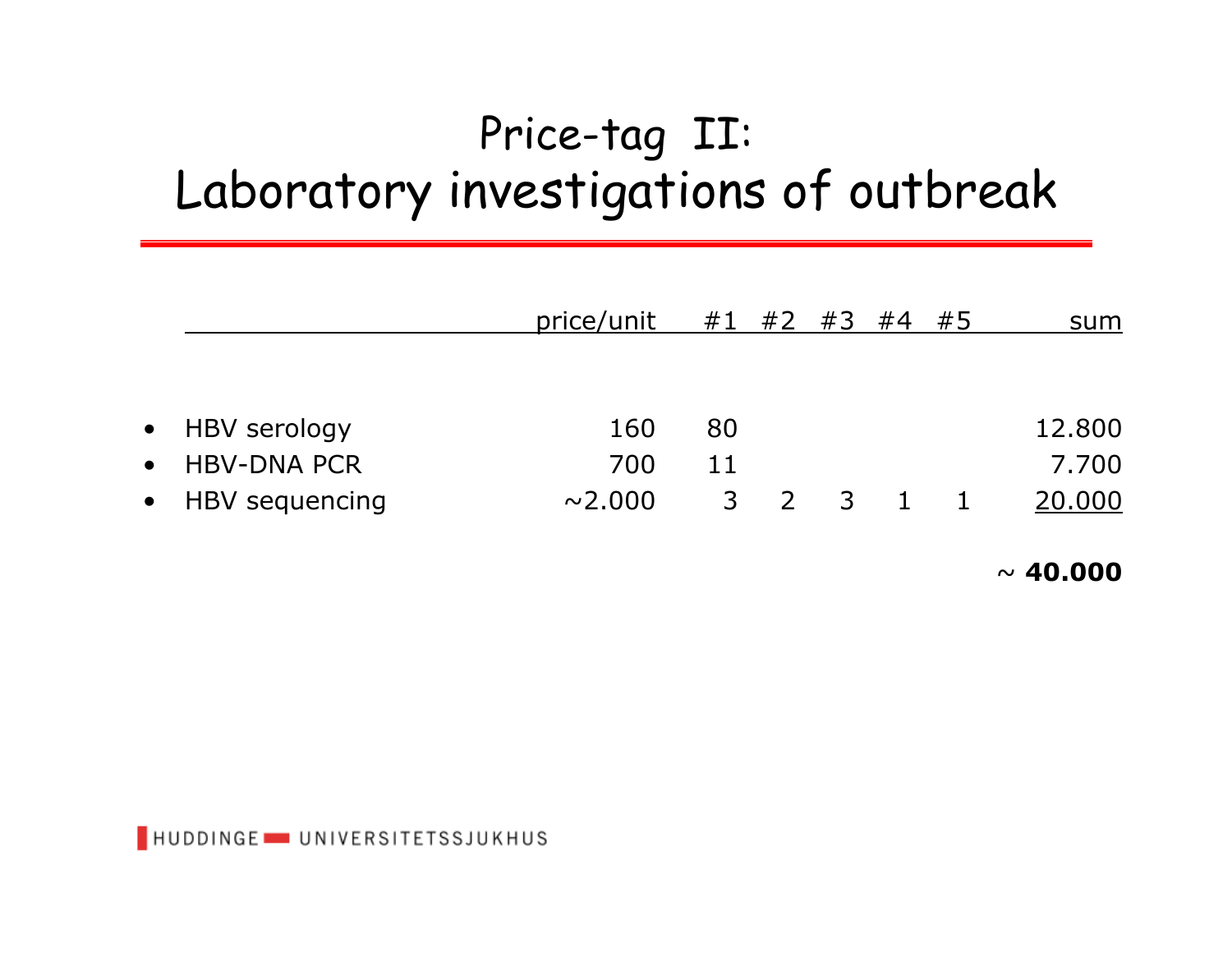### Price-tag II: Laboratory investigations of outbreak

|           |                    | price/unit   |    | #1 #2 #3 #4 #5 |  | sum    |
|-----------|--------------------|--------------|----|----------------|--|--------|
|           |                    |              |    |                |  |        |
|           |                    |              |    |                |  |        |
|           | • HBV serology     | 160          | 80 |                |  | 12.800 |
| $\bullet$ | <b>HBV-DNA PCR</b> | 700          | 11 |                |  | 7.700  |
|           | • HBV sequencing   | $\sim$ 2.000 |    | 3 2 3 1        |  | 20.000 |
|           |                    |              |    |                |  |        |

~ **40.000**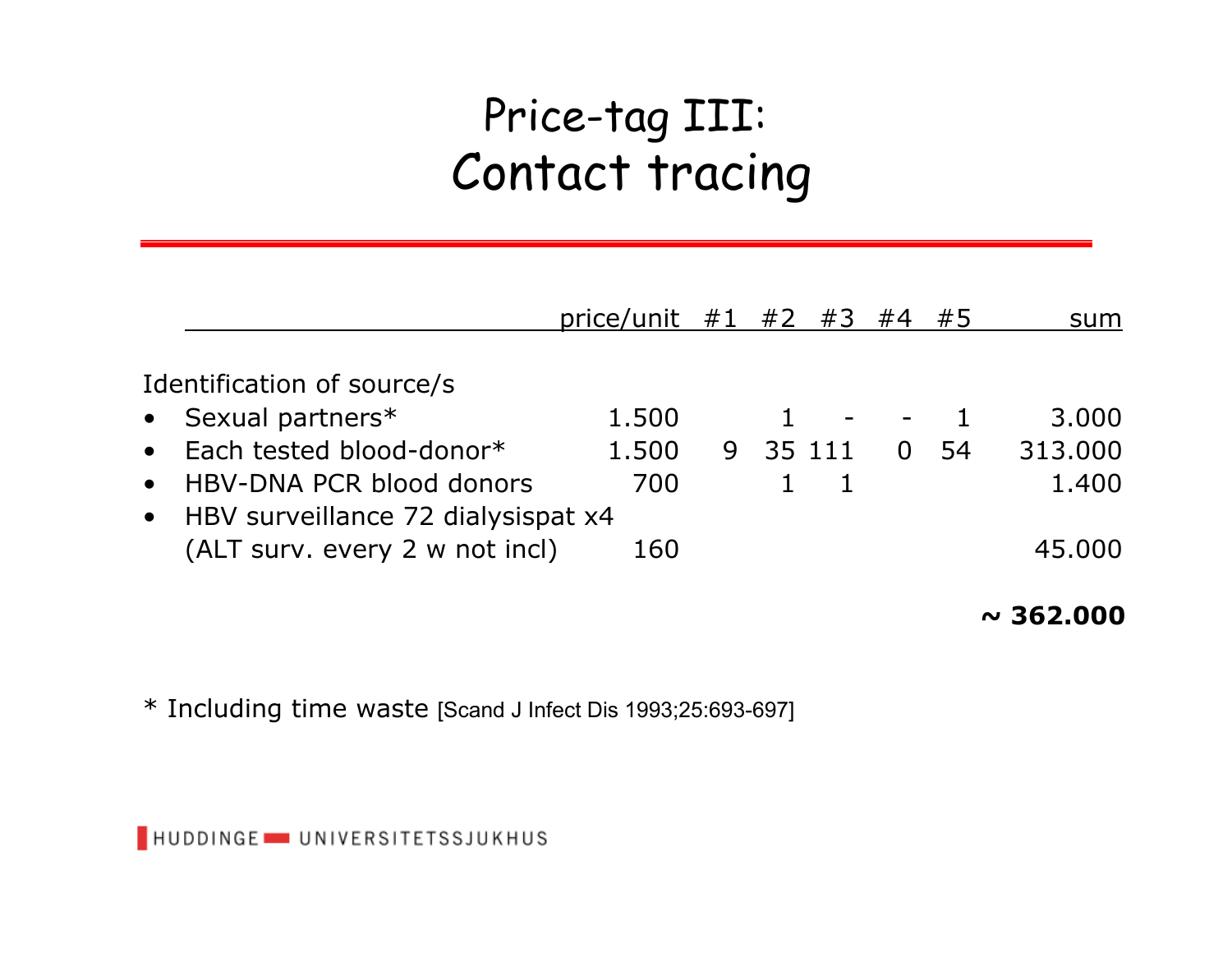### Price-tag III: Contact tracing

|                                                 |                                | price/unit #1 #2 #3 #4 #5 |  |          |  |   |    | sum     |
|-------------------------------------------------|--------------------------------|---------------------------|--|----------|--|---|----|---------|
|                                                 | Identification of source/s     |                           |  |          |  |   |    |         |
|                                                 | • Sexual partners $*$          | 1.500                     |  |          |  |   |    | 3.000   |
|                                                 | • Each tested blood-donor*     | 1.500                     |  | 9 35 111 |  | 0 | 54 | 313.000 |
| $\bullet$                                       | HBV-DNA PCR blood donors       | 700                       |  |          |  |   |    | 1.400   |
| HBV surveillance 72 dialysispat x4<br>$\bullet$ |                                |                           |  |          |  |   |    |         |
|                                                 | (ALT surv. every 2 w not incl) | 160                       |  |          |  |   |    | 45.000  |
|                                                 |                                |                           |  |          |  |   |    |         |

**~ 362.000**

\* Including time waste [Scand J Infect Dis 1993;25:693-697]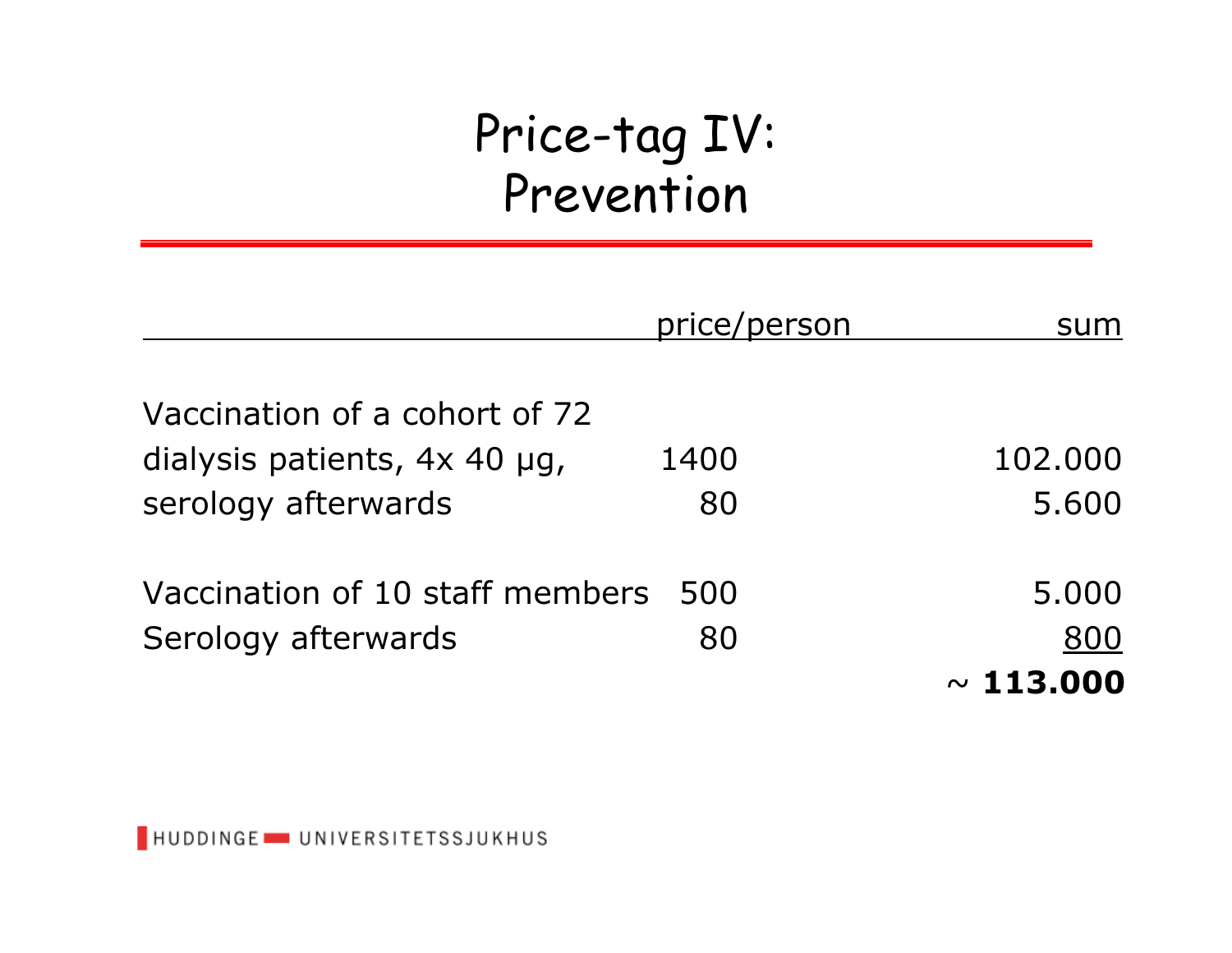### Price-tag IV: Prevention

|                                 | price/person | sum            |
|---------------------------------|--------------|----------------|
|                                 |              |                |
| Vaccination of a cohort of 72   |              |                |
| dialysis patients, 4x 40 µg,    | 1400         | 102.000        |
| serology afterwards             | 80           | 5.600          |
|                                 |              |                |
| Vaccination of 10 staff members | 500          | 5.000          |
| Serology afterwards             | 80           | 800            |
|                                 |              | $\sim 113.000$ |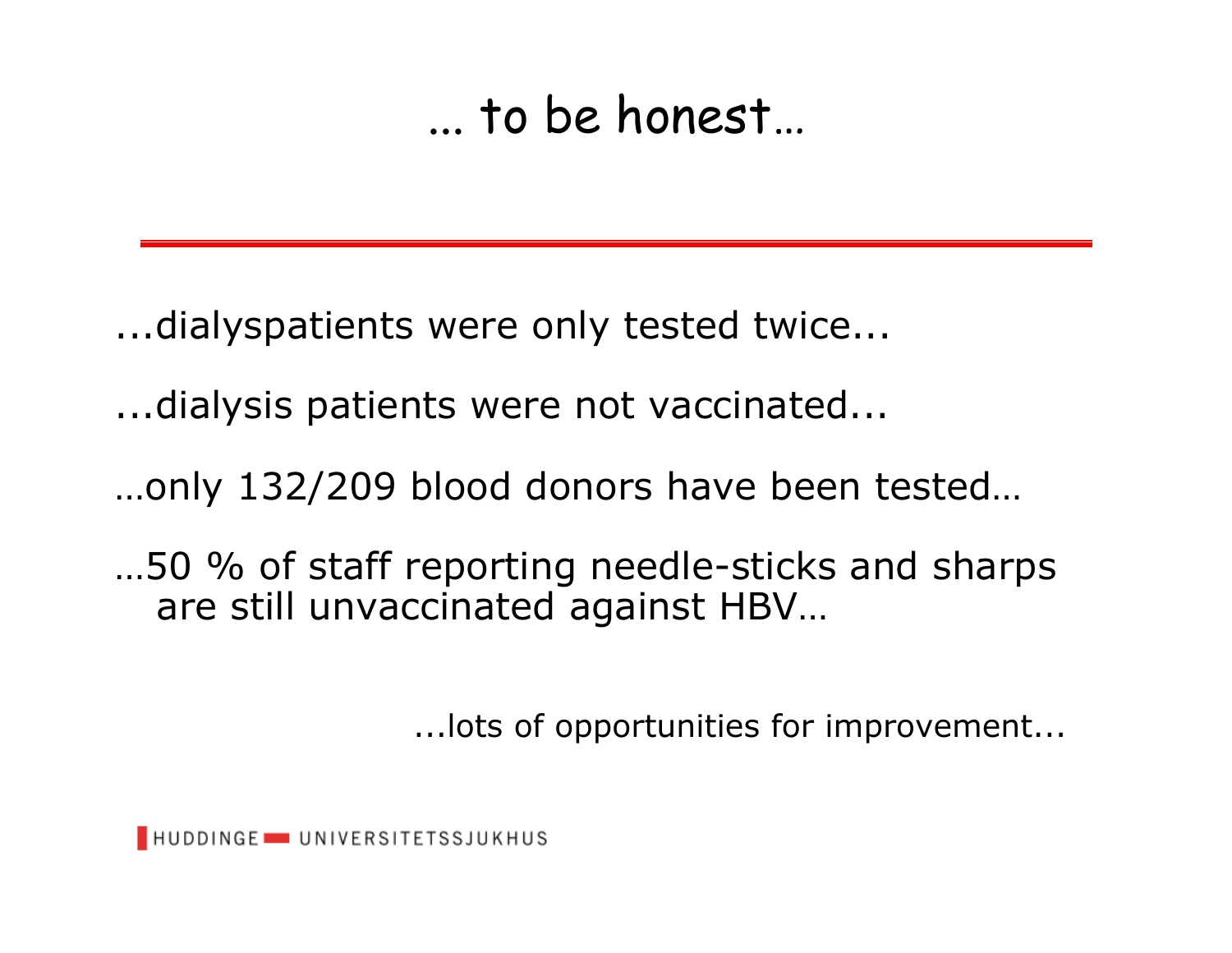### ... to be honest…

...dialyspatients were only tested twice...

...dialysis patients were not vaccinated...

…only 132/209 blood donors have been tested…

…50 % of staff reporting needle-sticks and sharps are still unvaccinated against HBV…

...lots of opportunities for improvement...